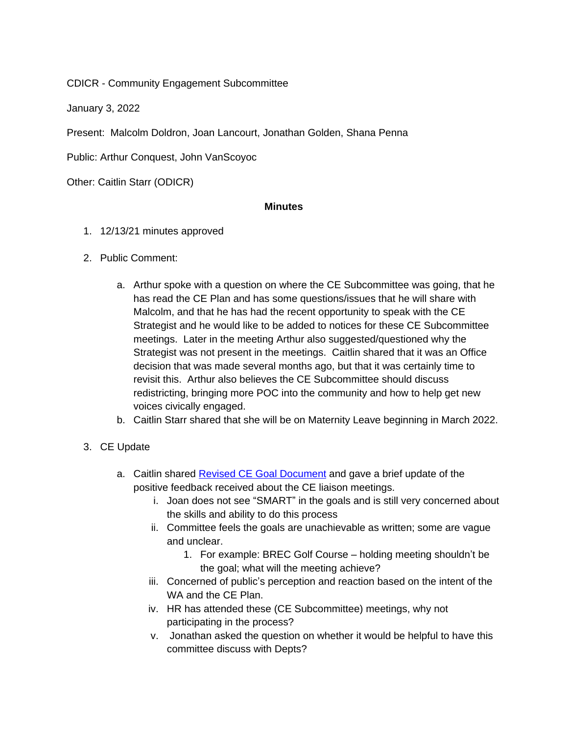CDICR - Community Engagement Subcommittee

January 3, 2022

Present: Malcolm Doldron, Joan Lancourt, Jonathan Golden, Shana Penna

Public: Arthur Conquest, John VanScoyoc

Other: Caitlin Starr (ODICR)

## **Minutes**

- 1. 12/13/21 minutes approved
- 2. Public Comment:
	- a. Arthur spoke with a question on where the CE Subcommittee was going, that he has read the CE Plan and has some questions/issues that he will share with Malcolm, and that he has had the recent opportunity to speak with the CE Strategist and he would like to be added to notices for these CE Subcommittee meetings. Later in the meeting Arthur also suggested/questioned why the Strategist was not present in the meetings. Caitlin shared that it was an Office decision that was made several months ago, but that it was certainly time to revisit this. Arthur also believes the CE Subcommittee should discuss redistricting, bringing more POC into the community and how to help get new voices civically engaged.
	- b. Caitlin Starr shared that she will be on Maternity Leave beginning in March 2022.
- 3. CE Update
	- a. Caitlin shared [Revised CE Goal Document](CE%20Reports/Synthesizing%20Goals%20Departments%20Dec%2029%202021.pdf) and gave a brief update of the positive feedback received about the CE liaison meetings.
		- i. Joan does not see "SMART" in the goals and is still very concerned about the skills and ability to do this process
		- ii. Committee feels the goals are unachievable as written; some are vague and unclear.
			- 1. For example: BREC Golf Course holding meeting shouldn't be the goal; what will the meeting achieve?
		- iii. Concerned of public's perception and reaction based on the intent of the WA and the CE Plan.
		- iv. HR has attended these (CE Subcommittee) meetings, why not participating in the process?
		- v. Jonathan asked the question on whether it would be helpful to have this committee discuss with Depts?